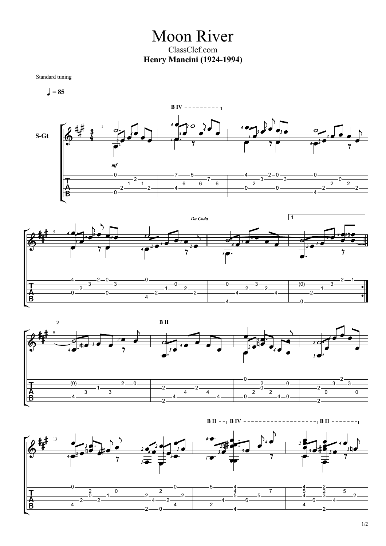Moon River ClassClef.com **Henry Mancini (1924-1994)**

Standard tuning